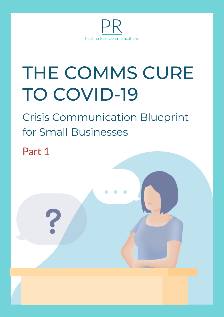

# THE COMMS CURE TO COVID-19

Crisis Communication Blueprint for Small Businesses

Part 1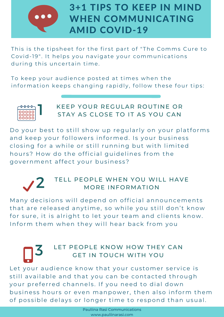

# 3+1 TIPS TO KEEP IN MIND WHEN COMMUNICATING AMID COVID-19

This is the tipsheet for the first part of "The Comms Cure to Covid-19". It helps you navigate your communications during this uncertain time.

To keep your audience posted at times when the information keeps changing rapidly, follow these four tips:



### KEEP YOUR REGULAR ROUTINE OR STAY AS CLOSE TO IT AS YOU CAN  $\begin{bmatrix} 1 & k \in \mathbb{R} \\ k \in \mathbb{R} \end{bmatrix}$

Do your best to still show up regularly on your platforms and keep your followers informed. Is your business closing for a while or still running but with limited hours? How do the official guidelines from the government affect your business?



### TELL PEOPLE WHEN YOU WILL HAVE MORE INFORMATION  $2$  TELL PE

Many decisions will depend on official announcements that are released anytime, so while you still don't know for sure, it is alright to let your team and clients know. Inform them when they will hear back from you

### $3$  LET PE LET PEOPLE KNOW HOW THEY CAN GET IN TOUCH WITH YOU

Let your audience know that your customer service is still available and that you can be contacted through your preferred channels. If you need to dial down business hours or even manpower, then also inform them of possible delays or longer time to respond than usual.